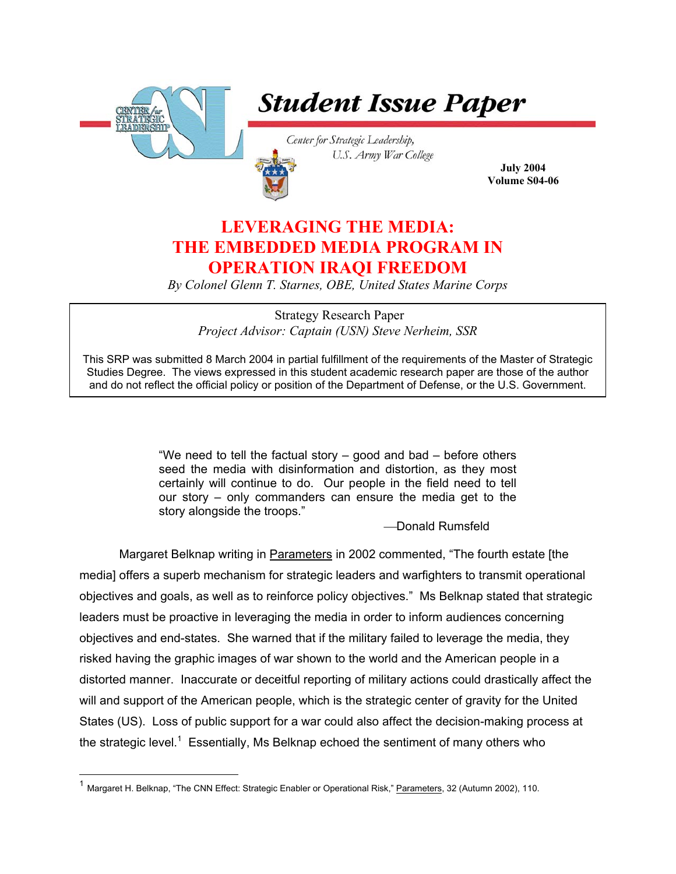

 $\overline{a}$ 

# **Student Issue Paper**

Center for Strategic Leadership, U.S. Army War College

**July 2004 Volume S04-06**

# **LEVERAGING THE MEDIA: THE EMBEDDED MEDIA PROGRAM IN OPERATION IRAQI FREEDOM**

*By Colonel Glenn T. Starnes, OBE, United States Marine Corps* 

 Strategy Research Paper *Project Advisor: Captain (USN) Steve Nerheim, SSR* 

This SRP was submitted 8 March 2004 in partial fulfillment of the requirements of the Master of Strategic Studies Degree. The views expressed in this student academic research paper are those of the author and do not reflect the official policy or position of the Department of Defense, or the U.S. Government.

> "We need to tell the factual story – good and bad – before others seed the media with disinformation and distortion, as they most certainly will continue to do. Our people in the field need to tell our story – only commanders can ensure the media get to the story alongside the troops."

> > -Donald Rumsfeld

Margaret Belknap writing in Parameters in 2002 commented, "The fourth estate [the media] offers a superb mechanism for strategic leaders and warfighters to transmit operational objectives and goals, as well as to reinforce policy objectives." Ms Belknap stated that strategic leaders must be proactive in leveraging the media in order to inform audiences concerning objectives and end-states. She warned that if the military failed to leverage the media, they risked having the graphic images of war shown to the world and the American people in a distorted manner. Inaccurate or deceitful reporting of military actions could drastically affect the will and support of the American people, which is the strategic center of gravity for the United States (US). Loss of public support for a war could also affect the decision-making process at thestrategic level.<sup>1</sup> Essentially, Ms Belknap echoed the sentiment of many others who

<span id="page-0-0"></span><sup>&</sup>lt;sup>1</sup> Margaret H. Belknap, "The CNN Effect: Strategic Enabler or Operational Risk," **Parameters**, 32 (Autumn 2002), 110.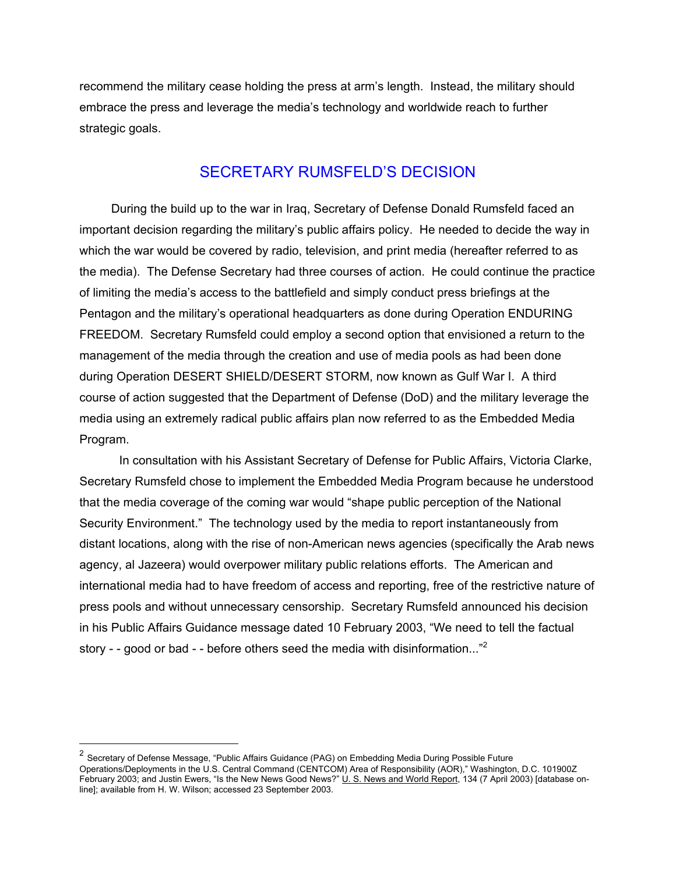recommend the military cease holding the press at arm's length. Instead, the military should embrace the press and leverage the media's technology and worldwide reach to further strategic goals.

# SECRETARY RUMSFELD'S DECISION

During the build up to the war in Iraq, Secretary of Defense Donald Rumsfeld faced an important decision regarding the military's public affairs policy. He needed to decide the way in which the war would be covered by radio, television, and print media (hereafter referred to as the media). The Defense Secretary had three courses of action. He could continue the practice of limiting the media's access to the battlefield and simply conduct press briefings at the Pentagon and the military's operational headquarters as done during Operation ENDURING FREEDOM. Secretary Rumsfeld could employ a second option that envisioned a return to the management of the media through the creation and use of media pools as had been done during Operation DESERT SHIELD/DESERT STORM, now known as Gulf War I. A third course of action suggested that the Department of Defense (DoD) and the military leverage the media using an extremely radical public affairs plan now referred to as the Embedded Media Program.

In consultation with his Assistant Secretary of Defense for Public Affairs, Victoria Clarke, Secretary Rumsfeld chose to implement the Embedded Media Program because he understood that the media coverage of the coming war would "shape public perception of the National Security Environment." The technology used by the media to report instantaneously from distant locations, along with the rise of non-American news agencies (specifically the Arab news agency, al Jazeera) would overpower military public relations efforts. The American and international media had to have freedom of access and reporting, free of the restrictive nature of press pools and without unnecessary censorship. Secretary Rumsfeld announced his decision in his Public Affairs Guidance message dated 10 February 2003, "We need to tell the factual story - - good or bad - - before others seed the media with disinformation... $n^2$  $n^2$ 

<span id="page-1-0"></span><sup>&</sup>lt;sup>2</sup> Secretary of Defense Message, "Public Affairs Guidance (PAG) on Embedding Media During Possible Future Operations/Deployments in the U.S. Central Command (CENTCOM) Area of Responsibility (AOR)," Washington, D.C. 101900Z February 2003; and Justin Ewers, "Is the New News Good News?" U. S. News and World Report, 134 (7 April 2003) [database online]; available from H. W. Wilson; accessed 23 September 2003.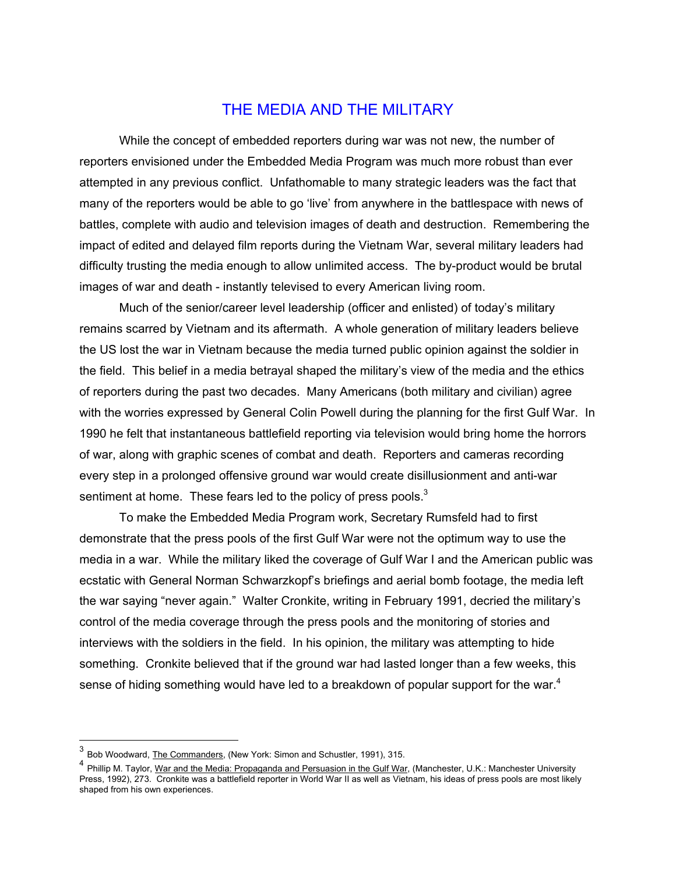### THE MEDIA AND THE MILITARY

While the concept of embedded reporters during war was not new, the number of reporters envisioned under the Embedded Media Program was much more robust than ever attempted in any previous conflict. Unfathomable to many strategic leaders was the fact that many of the reporters would be able to go 'live' from anywhere in the battlespace with news of battles, complete with audio and television images of death and destruction. Remembering the impact of edited and delayed film reports during the Vietnam War, several military leaders had difficulty trusting the media enough to allow unlimited access. The by-product would be brutal images of war and death - instantly televised to every American living room.

Much of the senior/career level leadership (officer and enlisted) of today's military remains scarred by Vietnam and its aftermath. A whole generation of military leaders believe the US lost the war in Vietnam because the media turned public opinion against the soldier in the field. This belief in a media betrayal shaped the military's view of the media and the ethics of reporters during the past two decades. Many Americans (both military and civilian) agree with the worries expressed by General Colin Powell during the planning for the first Gulf War. In 1990 he felt that instantaneous battlefield reporting via television would bring home the horrors of war, along with graphic scenes of combat and death. Reporters and cameras recording every step in a prolonged offensive ground war would create disillusionment and anti-war sentiment at home. These fears led to the policy of press pools.<sup>[3](#page-2-0)</sup>

To make the Embedded Media Program work, Secretary Rumsfeld had to first demonstrate that the press pools of the first Gulf War were not the optimum way to use the media in a war. While the military liked the coverage of Gulf War I and the American public was ecstatic with General Norman Schwarzkopf's briefings and aerial bomb footage, the media left the war saying "never again." Walter Cronkite, writing in February 1991, decried the military's control of the media coverage through the press pools and the monitoring of stories and interviews with the soldiers in the field. In his opinion, the military was attempting to hide something. Cronkite believed that if the ground war had lasted longer than a few weeks, this sense of hiding something would have led to a breakdown of popular support for the war.<sup>[4](#page-2-1)</sup>

<span id="page-2-0"></span><sup>3</sup> Bob Woodward, The Commanders, (New York: Simon and Schustler, 1991), 315.

<span id="page-2-1"></span><sup>&</sup>lt;sup>4</sup> Phillip M. Taylor, War and the Media: Propaganda and Persuasion in the Gulf War, (Manchester, U.K.: Manchester University Press. 1992), 273. Cronkite was a battlefield reporter in World War II as well as Vietnam, his ideas of press pools are most likely shaped from his own experiences.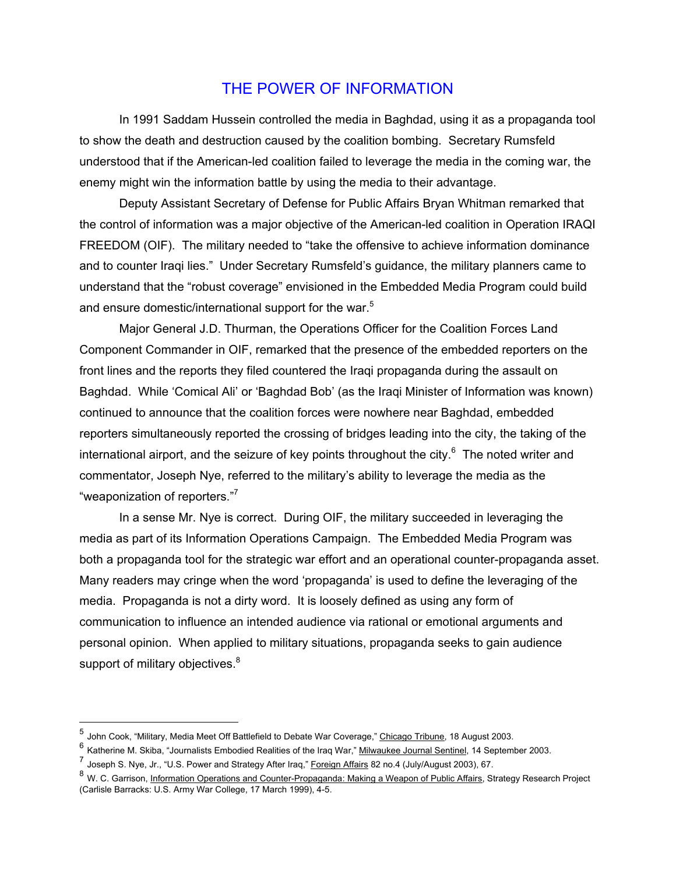### THE POWER OF INFORMATION

In 1991 Saddam Hussein controlled the media in Baghdad, using it as a propaganda tool to show the death and destruction caused by the coalition bombing. Secretary Rumsfeld understood that if the American-led coalition failed to leverage the media in the coming war, the enemy might win the information battle by using the media to their advantage.

Deputy Assistant Secretary of Defense for Public Affairs Bryan Whitman remarked that the control of information was a major objective of the American-led coalition in Operation IRAQI FREEDOM (OIF). The military needed to "take the offensive to achieve information dominance and to counter Iraqi lies." Under Secretary Rumsfeld's guidance, the military planners came to understand that the "robust coverage" envisioned in the Embedded Media Program could build and ensure domestic/international support for the war.<sup>[5](#page-3-0)</sup>

Major General J.D. Thurman, the Operations Officer for the Coalition Forces Land Component Commander in OIF, remarked that the presence of the embedded reporters on the front lines and the reports they filed countered the Iraqi propaganda during the assault on Baghdad. While 'Comical Ali' or 'Baghdad Bob' (as the Iraqi Minister of Information was known) continued to announce that the coalition forces were nowhere near Baghdad, embedded reporters simultaneously reported the crossing of bridges leading into the city, the taking of the international airport, and the seizure of key points throughout the city. $6$  The noted writer and commentator, Joseph Nye, referred to the military's ability to leverage the media as the "weaponization of reporters."[7](#page-3-2)

In a sense Mr. Nye is correct. During OIF, the military succeeded in leveraging the media as part of its Information Operations Campaign. The Embedded Media Program was both a propaganda tool for the strategic war effort and an operational counter-propaganda asset. Many readers may cringe when the word 'propaganda' is used to define the leveraging of the media. Propaganda is not a dirty word. It is loosely defined as using any form of communication to influence an intended audience via rational or emotional arguments and personal opinion. When applied to military situations, propaganda seeks to gain audience support of military objectives. $8$ 

<span id="page-3-0"></span><sup>5</sup> John Cook, "Military, Media Meet Off Battlefield to Debate War Coverage," Chicago Tribune, 18 August 2003.

<span id="page-3-1"></span><sup>6</sup> Katherine M. Skiba, "Journalists Embodied Realities of the Iraq War," Milwaukee Journal Sentinel, 14 September 2003.

<span id="page-3-2"></span><sup>7&</sup>lt;br>Joseph S. Nye, Jr., "U.S. Power and Strategy After Iraq," Foreign Affairs 82 no.4 (July/August 2003), 67.

<span id="page-3-3"></span><sup>&</sup>lt;sup>8</sup> W. C. Garrison, Information Operations and Counter-Propaganda: Making a Weapon of Public Affairs, Strategy Research Project (Carlisle Barracks: U.S. Army War College, 17 March 1999), 4-5.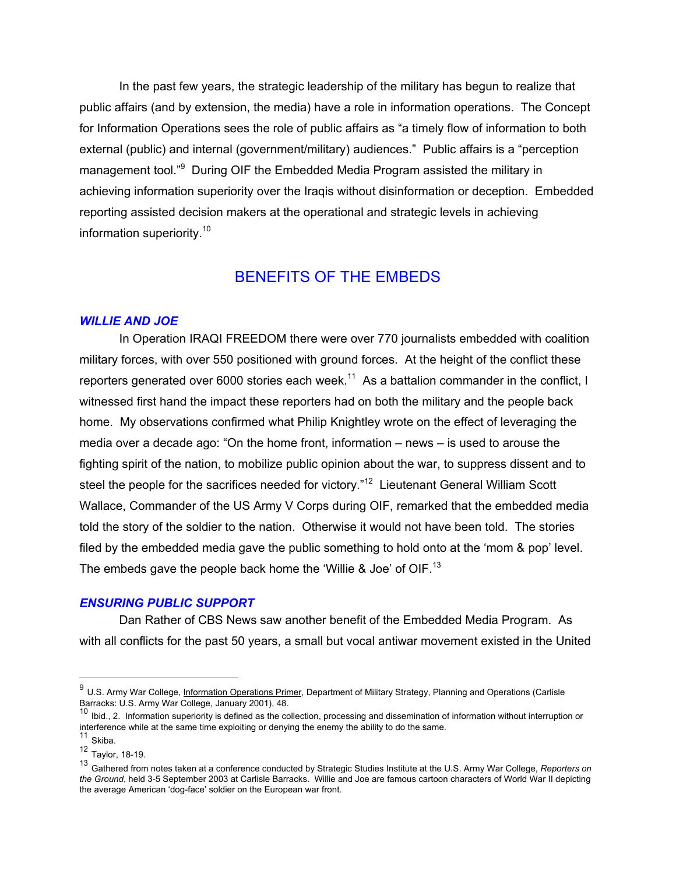In the past few years, the strategic leadership of the military has begun to realize that public affairs (and by extension, the media) have a role in information operations. The Concept for Information Operations sees the role of public affairs as "a timely flow of information to both external (public) and internal (government/military) audiences." Public affairs is a "perception management tool."<sup>[9](#page-4-0)</sup> During OIF the Embedded Media Program assisted the military in achieving information superiority over the Iraqis without disinformation or deception. Embedded reporting assisted decision makers at the operational and strategic levels in achieving information superiority.<sup>10</sup>

## BENEFITS OF THE EMBEDS

#### *WILLIE AND JOE*

In Operation IRAQI FREEDOM there were over 770 journalists embedded with coalition military forces, with over 550 positioned with ground forces. At the height of the conflict these reporters generated over 6000 stories each week.<sup>11</sup> As a battalion commander in the conflict, I witnessed first hand the impact these reporters had on both the military and the people back home. My observations confirmed what Philip Knightley wrote on the effect of leveraging the media over a decade ago: "On the home front, information – news – is used to arouse the fighting spirit of the nation, to mobilize public opinion about the war, to suppress dissent and to steel the people for the sacrifices needed for victory."<sup>12</sup> Lieutenant General William Scott Wallace, Commander of the US Army V Corps during OIF, remarked that the embedded media told the story of the soldier to the nation. Otherwise it would not have been told. The stories filed by the embedded media gave the public something to hold onto at the 'mom & pop' level. The embeds gave the people back home the 'Willie & Joe' of OIF.<sup>[13](#page-4-4)</sup>

#### *ENSURING PUBLIC SUPPORT*

Dan Rather of CBS News saw another benefit of the Embedded Media Program. As with all conflicts for the past 50 years, a small but vocal antiwar movement existed in the United

<span id="page-4-0"></span><sup>&</sup>lt;sup>9</sup> U.S. Army War College, *Information Operations Primer*, Department of Military Strategy, Planning and Operations (Carlisle Barracks: U.S. Army War College, January 2001), 48.

<span id="page-4-1"></span><sup>&</sup>lt;sup>10</sup> Ibid., 2. Information superiority is defined as the collection, processing and dissemination of information without interruption or interference while at the same time exploiting or denying the enemy the ability to do the same.

<span id="page-4-2"></span><sup>11</sup> Skiba.

<span id="page-4-3"></span><sup>12</sup> Taylor, 18-19.

<span id="page-4-4"></span><sup>13</sup> Gathered from notes taken at a conference conducted by Strategic Studies Institute at the U.S. Army War College, *Reporters on the Ground*, held 3-5 September 2003 at Carlisle Barracks. Willie and Joe are famous cartoon characters of World War II depicting the average American 'dog-face' soldier on the European war front.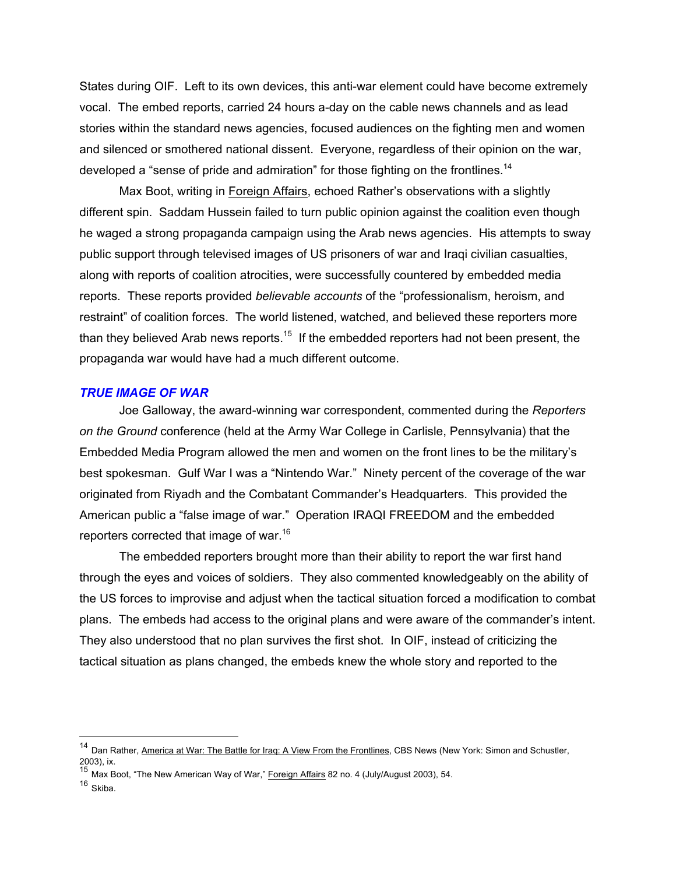States during OIF. Left to its own devices, this anti-war element could have become extremely vocal. The embed reports, carried 24 hours a-day on the cable news channels and as lead stories within the standard news agencies, focused audiences on the fighting men and women and silenced or smothered national dissent. Everyone, regardless of their opinion on the war, developed a "sense of pride and admiration" for those fighting on the frontlines.<sup>14</sup>

Max Boot, writing in Foreign Affairs, echoed Rather's observations with a slightly different spin. Saddam Hussein failed to turn public opinion against the coalition even though he waged a strong propaganda campaign using the Arab news agencies. His attempts to sway public support through televised images of US prisoners of war and Iraqi civilian casualties, along with reports of coalition atrocities, were successfully countered by embedded media reports. These reports provided *believable accounts* of the "professionalism, heroism, and restraint" of coalition forces. The world listened, watched, and believed these reporters more than they believed Arab news reports.<sup>15</sup> If the embedded reporters had not been present, the propaganda war would have had a much different outcome.

### *TRUE IMAGE OF WAR*

Joe Galloway, the award-winning war correspondent, commented during the *Reporters on the Ground* conference (held at the Army War College in Carlisle, Pennsylvania) that the Embedded Media Program allowed the men and women on the front lines to be the military's best spokesman. Gulf War I was a "Nintendo War." Ninety percent of the coverage of the war originated from Riyadh and the Combatant Commander's Headquarters. This provided the American public a "false image of war." Operation IRAQI FREEDOM and the embedded reporters corrected that image of war.<sup>[16](#page-5-2)</sup>

The embedded reporters brought more than their ability to report the war first hand through the eyes and voices of soldiers. They also commented knowledgeably on the ability of the US forces to improvise and adjust when the tactical situation forced a modification to combat plans. The embeds had access to the original plans and were aware of the commander's intent. They also understood that no plan survives the first shot. In OIF, instead of criticizing the tactical situation as plans changed, the embeds knew the whole story and reported to the

<span id="page-5-0"></span><sup>&</sup>lt;sup>14</sup> Dan Rather, America at War: The Battle for Iraq: A View From the Frontlines, CBS News (New York: Simon and Schustler, 2003), ix.<br><sup>15</sup> Max Boot, "The New American Way of War," <u>Foreign Affairs</u> 82 no. 4 (July/August 2003), 54.

<span id="page-5-1"></span>

<span id="page-5-2"></span> $16$  Skiba.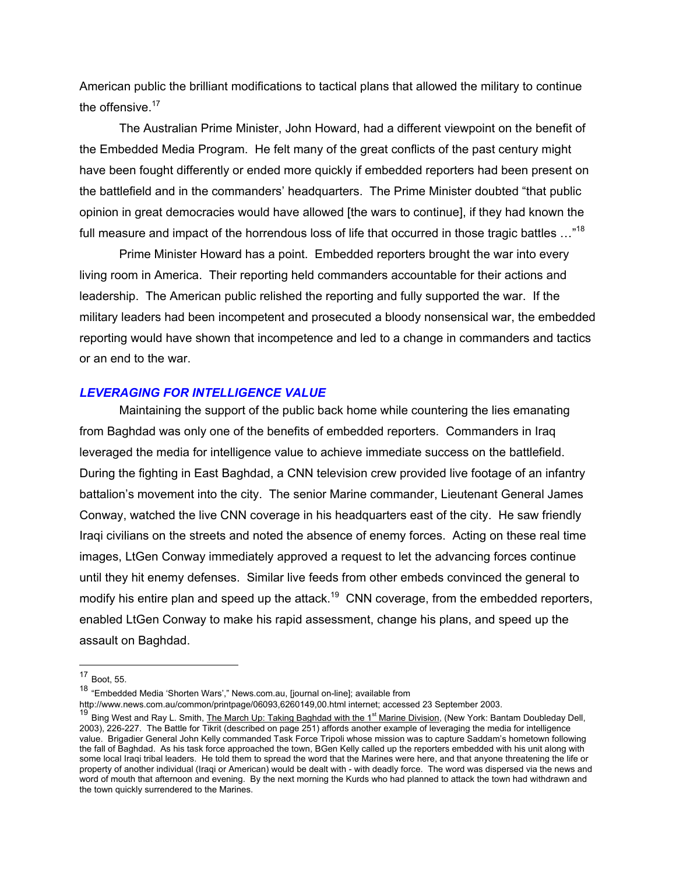American public the brilliant modifications to tactical plans that allowed the military to continue the offensive. $17$ 

The Australian Prime Minister, John Howard, had a different viewpoint on the benefit of the Embedded Media Program. He felt many of the great conflicts of the past century might have been fought differently or ended more quickly if embedded reporters had been present on the battlefield and in the commanders' headquarters. The Prime Minister doubted "that public opinion in great democracies would have allowed [the wars to continue], if they had known the full measure and impact of the horrendous loss of life that occurred in those tragic battles ..."<sup>18</sup>

Prime Minister Howard has a point. Embedded reporters brought the war into every living room in America. Their reporting held commanders accountable for their actions and leadership. The American public relished the reporting and fully supported the war. If the military leaders had been incompetent and prosecuted a bloody nonsensical war, the embedded reporting would have shown that incompetence and led to a change in commanders and tactics or an end to the war.

#### *LEVERAGING FOR INTELLIGENCE VALUE*

Maintaining the support of the public back home while countering the lies emanating from Baghdad was only one of the benefits of embedded reporters. Commanders in Iraq leveraged the media for intelligence value to achieve immediate success on the battlefield. During the fighting in East Baghdad, a CNN television crew provided live footage of an infantry battalion's movement into the city. The senior Marine commander, Lieutenant General James Conway, watched the live CNN coverage in his headquarters east of the city. He saw friendly Iraqi civilians on the streets and noted the absence of enemy forces. Acting on these real time images, LtGen Conway immediately approved a request to let the advancing forces continue until they hit enemy defenses. Similar live feeds from other embeds convinced the general to modify his entire plan and speed up the attack.<sup>19</sup> CNN coverage, from the embedded reporters, enabled LtGen Conway to make his rapid assessment, change his plans, and speed up the assault on Baghdad.

 $\overline{a}$ 

<span id="page-6-1"></span><sup>18</sup> "Embedded Media 'Shorten Wars'," News.com.au, [journal on-line]; available from

http://www.news.com.au/common/printpage/06093,6260149,00.html internet; accessed 23 September 2003.

<span id="page-6-0"></span> $17$  Boot, 55.

<span id="page-6-2"></span><sup>&</sup>lt;sup>19</sup> Bing West and Ray L. Smith, *The March Up: Taking Baghdad with the 1<sup>st</sup> Marine Division, (New York: Bantam Doubleday Dell,* 2003), 226-227. The Battle for Tikrit (described on page 251) affords another example of leveraging the media for intelligence value. Brigadier General John Kelly commanded Task Force Tripoli whose mission was to capture Saddam's hometown following the fall of Baghdad. As his task force approached the town, BGen Kelly called up the reporters embedded with his unit along with some local Iraqi tribal leaders. He told them to spread the word that the Marines were here, and that anyone threatening the life or property of another individual (Iraqi or American) would be dealt with - with deadly force. The word was dispersed via the news and word of mouth that afternoon and evening. By the next morning the Kurds who had planned to attack the town had withdrawn and the town quickly surrendered to the Marines.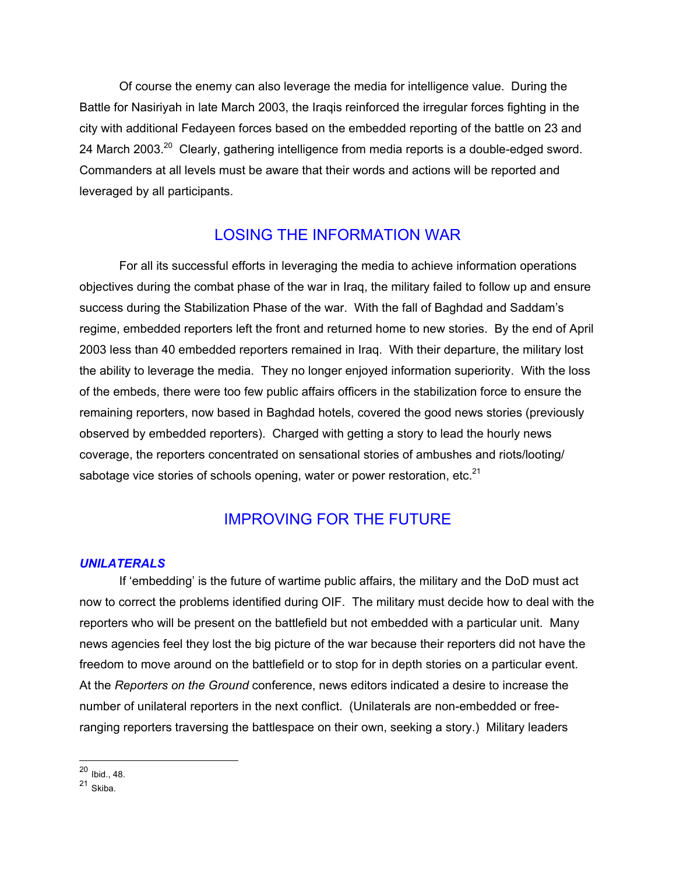Of course the enemy can also leverage the media for intelligence value. During the Battle for Nasiriyah in late March 2003, the Iraqis reinforced the irregular forces fighting in the city with additional Fedayeen forces based on the embedded reporting of the battle on 23 and 24 March 2003.<sup>20</sup> Clearly, gathering intelligence from media reports is a double-edged sword. Commanders at all levels must be aware that their words and actions will be reported and leveraged by all participants.

# LOSING THE INFORMATION WAR

For all its successful efforts in leveraging the media to achieve information operations objectives during the combat phase of the war in Iraq, the military failed to follow up and ensure success during the Stabilization Phase of the war. With the fall of Baghdad and Saddam's regime, embedded reporters left the front and returned home to new stories. By the end of April 2003 less than 40 embedded reporters remained in Iraq. With their departure, the military lost the ability to leverage the media. They no longer enjoyed information superiority. With the loss of the embeds, there were too few public affairs officers in the stabilization force to ensure the remaining reporters, now based in Baghdad hotels, covered the good news stories (previously observed by embedded reporters). Charged with getting a story to lead the hourly news coverage, the reporters concentrated on sensational stories of ambushes and riots/looting/ sabotage vice stories of schools opening, water or power restoration, etc. $21$ 

# IMPROVING FOR THE FUTURE

### *UNILATERALS*

If 'embedding' is the future of wartime public affairs, the military and the DoD must act now to correct the problems identified during OIF. The military must decide how to deal with the reporters who will be present on the battlefield but not embedded with a particular unit. Many news agencies feel they lost the big picture of the war because their reporters did not have the freedom to move around on the battlefield or to stop for in depth stories on a particular event. At the *Reporters on the Ground* conference, news editors indicated a desire to increase the number of unilateral reporters in the next conflict. (Unilaterals are non-embedded or freeranging reporters traversing the battlespace on their own, seeking a story.) Military leaders

 $\overline{a}$ <sup>20</sup> Ibid., 48.

<span id="page-7-1"></span><span id="page-7-0"></span> $21 \over$ Skiba.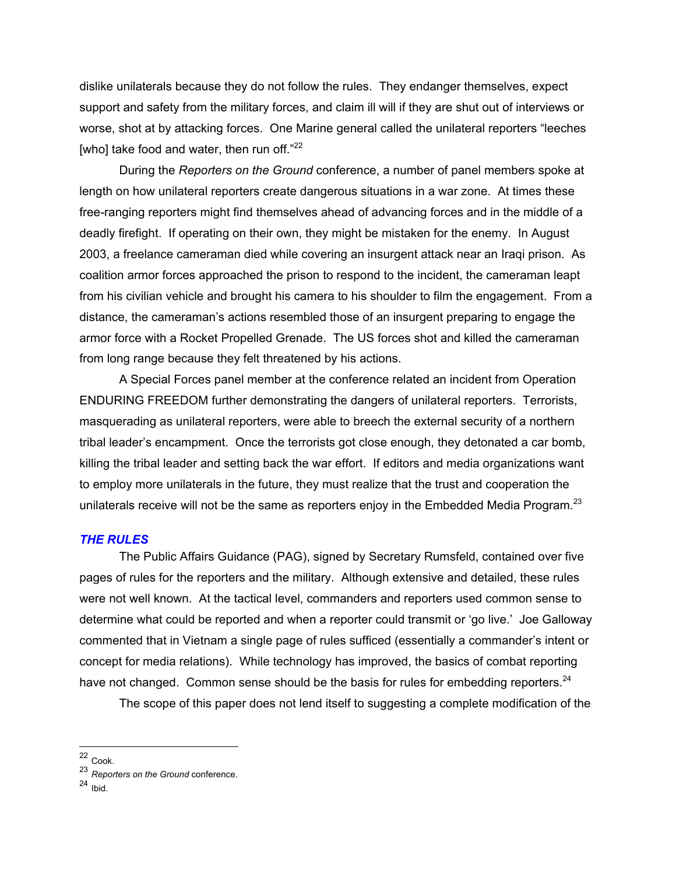dislike unilaterals because they do not follow the rules. They endanger themselves, expect support and safety from the military forces, and claim ill will if they are shut out of interviews or worse, shot at by attacking forces. One Marine general called the unilateral reporters "leeches [who] take food and water, then run off. $22$ 

During the *Reporters on the Ground* conference, a number of panel members spoke at length on how unilateral reporters create dangerous situations in a war zone. At times these free-ranging reporters might find themselves ahead of advancing forces and in the middle of a deadly firefight. If operating on their own, they might be mistaken for the enemy. In August 2003, a freelance cameraman died while covering an insurgent attack near an Iraqi prison. As coalition armor forces approached the prison to respond to the incident, the cameraman leapt from his civilian vehicle and brought his camera to his shoulder to film the engagement. From a distance, the cameraman's actions resembled those of an insurgent preparing to engage the armor force with a Rocket Propelled Grenade. The US forces shot and killed the cameraman from long range because they felt threatened by his actions.

A Special Forces panel member at the conference related an incident from Operation ENDURING FREEDOM further demonstrating the dangers of unilateral reporters. Terrorists, masquerading as unilateral reporters, were able to breech the external security of a northern tribal leader's encampment. Once the terrorists got close enough, they detonated a car bomb, killing the tribal leader and setting back the war effort. If editors and media organizations want to employ more unilaterals in the future, they must realize that the trust and cooperation the unilaterals receive will not be the same as reporters enjoy in the Embedded Media Program.<sup>[23](#page-8-1)</sup>

### *THE RULES*

The Public Affairs Guidance (PAG), signed by Secretary Rumsfeld, contained over five pages of rules for the reporters and the military. Although extensive and detailed, these rules were not well known. At the tactical level, commanders and reporters used common sense to determine what could be reported and when a reporter could transmit or 'go live.' Joe Galloway commented that in Vietnam a single page of rules sufficed (essentially a commander's intent or concept for media relations). While technology has improved, the basics of combat reporting have not changed. Common sense should be the basis for rules for embedding reporters.<sup>[24](#page-8-2)</sup>

The scope of this paper does not lend itself to suggesting a complete modification of the

<span id="page-8-0"></span><sup>&</sup>lt;sup>22</sup> Cook.

<span id="page-8-1"></span><sup>23</sup> *Reporters on the Ground* conference.

<span id="page-8-2"></span><sup>24</sup> Ibid.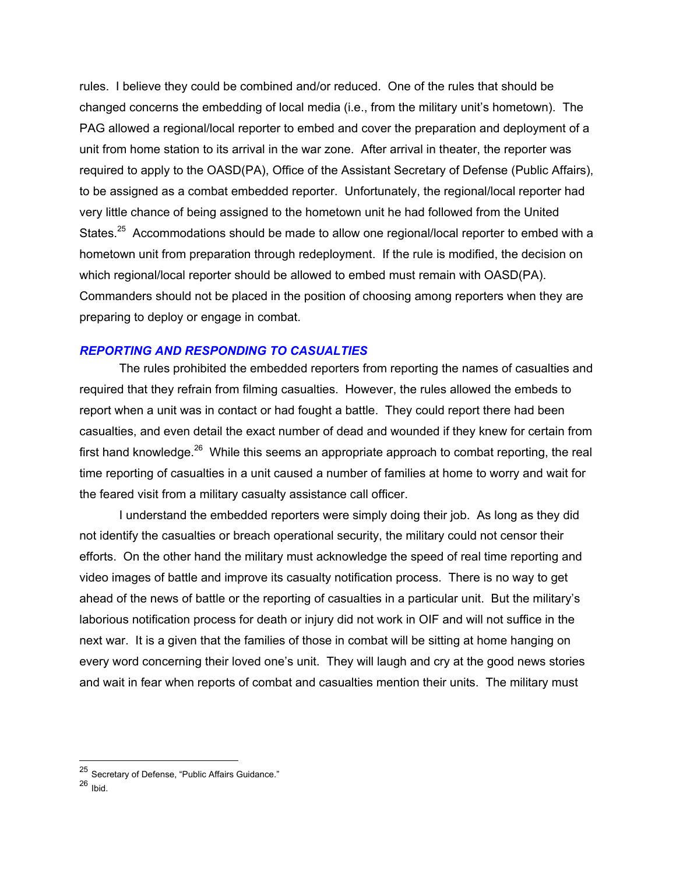rules. I believe they could be combined and/or reduced. One of the rules that should be changed concerns the embedding of local media (i.e., from the military unit's hometown). The PAG allowed a regional/local reporter to embed and cover the preparation and deployment of a unit from home station to its arrival in the war zone. After arrival in theater, the reporter was required to apply to the OASD(PA), Office of the Assistant Secretary of Defense (Public Affairs), to be assigned as a combat embedded reporter. Unfortunately, the regional/local reporter had very little chance of being assigned to the hometown unit he had followed from the United States.<sup>25</sup> Accommodations should be made to allow one regional/local reporter to embed with a hometown unit from preparation through redeployment. If the rule is modified, the decision on which regional/local reporter should be allowed to embed must remain with OASD(PA). Commanders should not be placed in the position of choosing among reporters when they are preparing to deploy or engage in combat.

#### *REPORTING AND RESPONDING TO CASUALTIES*

The rules prohibited the embedded reporters from reporting the names of casualties and required that they refrain from filming casualties. However, the rules allowed the embeds to report when a unit was in contact or had fought a battle. They could report there had been casualties, and even detail the exact number of dead and wounded if they knew for certain from first hand knowledge.<sup>26</sup> While this seems an appropriate approach to combat reporting, the real time reporting of casualties in a unit caused a number of families at home to worry and wait for the feared visit from a military casualty assistance call officer.

I understand the embedded reporters were simply doing their job. As long as they did not identify the casualties or breach operational security, the military could not censor their efforts. On the other hand the military must acknowledge the speed of real time reporting and video images of battle and improve its casualty notification process. There is no way to get ahead of the news of battle or the reporting of casualties in a particular unit. But the military's laborious notification process for death or injury did not work in OIF and will not suffice in the next war. It is a given that the families of those in combat will be sitting at home hanging on every word concerning their loved one's unit. They will laugh and cry at the good news stories and wait in fear when reports of combat and casualties mention their units. The military must

<span id="page-9-0"></span><sup>&</sup>lt;sup>25</sup> Secretary of Defense, "Public Affairs Guidance."

<span id="page-9-1"></span> $26$  Ibid.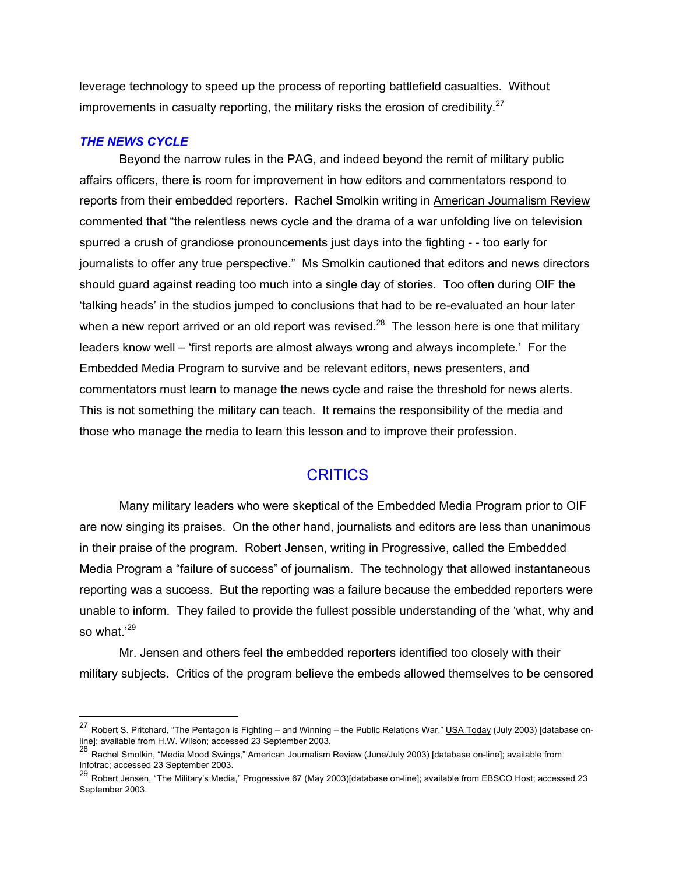leverage technology to speed up the process of reporting battlefield casualties. Without improvements in casualty reporting, the military risks the erosion of credibility.<sup>[27](#page-10-0)</sup>

#### *THE NEWS CYCLE*

 $\overline{a}$ 

Beyond the narrow rules in the PAG, and indeed beyond the remit of military public affairs officers, there is room for improvement in how editors and commentators respond to reports from their embedded reporters. Rachel Smolkin writing in American Journalism Review commented that "the relentless news cycle and the drama of a war unfolding live on television spurred a crush of grandiose pronouncements just days into the fighting - - too early for journalists to offer any true perspective." Ms Smolkin cautioned that editors and news directors should guard against reading too much into a single day of stories. Too often during OIF the 'talking heads' in the studios jumped to conclusions that had to be re-evaluated an hour later when a new report arrived or an old report was revised.<sup>28</sup> The lesson here is one that military leaders know well – 'first reports are almost always wrong and always incomplete.' For the Embedded Media Program to survive and be relevant editors, news presenters, and commentators must learn to manage the news cycle and raise the threshold for news alerts. This is not something the military can teach. It remains the responsibility of the media and those who manage the media to learn this lesson and to improve their profession.

### **CRITICS**

Many military leaders who were skeptical of the Embedded Media Program prior to OIF are now singing its praises. On the other hand, journalists and editors are less than unanimous in their praise of the program. Robert Jensen, writing in Progressive, called the Embedded Media Program a "failure of success" of journalism. The technology that allowed instantaneous reporting was a success. But the reporting was a failure because the embedded reporters were unable to inform. They failed to provide the fullest possible understanding of the 'what, why and so what.<sup>'[29](#page-10-2)</sup>

Mr. Jensen and others feel the embedded reporters identified too closely with their military subjects. Critics of the program believe the embeds allowed themselves to be censored

<span id="page-10-0"></span><sup>&</sup>lt;sup>27</sup> Robert S. Pritchard, "The Pentagon is Fighting – and Winning – the Public Relations War," USA Today (July 2003) [database online]; available from H.W. Wilson; accessed 23 September 2003.

<span id="page-10-1"></span><sup>&</sup>lt;sup>28</sup> Rachel Smolkin, "Media Mood Swings," American Journalism Review (June/July 2003) [database on-line]; available from Infotrac; accessed 23 September 2003.

<span id="page-10-2"></span><sup>&</sup>lt;sup>29</sup> Robert Jensen, "The Military's Media," Progressive 67 (May 2003)[database on-line]; available from EBSCO Host; accessed 23 September 2003.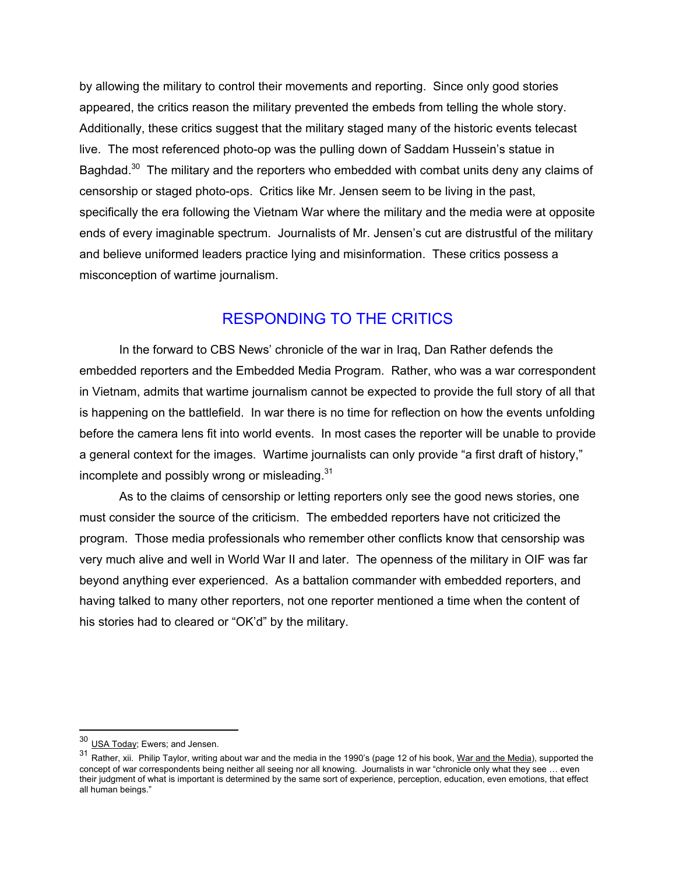by allowing the military to control their movements and reporting. Since only good stories appeared, the critics reason the military prevented the embeds from telling the whole story. Additionally, these critics suggest that the military staged many of the historic events telecast live. The most referenced photo-op was the pulling down of Saddam Hussein's statue in Baghdad.<sup>30</sup> The military and the reporters who embedded with combat units deny any claims of censorship or staged photo-ops. Critics like Mr. Jensen seem to be living in the past, specifically the era following the Vietnam War where the military and the media were at opposite ends of every imaginable spectrum. Journalists of Mr. Jensen's cut are distrustful of the military and believe uniformed leaders practice lying and misinformation. These critics possess a misconception of wartime journalism.

## RESPONDING TO THE CRITICS

In the forward to CBS News' chronicle of the war in Iraq, Dan Rather defends the embedded reporters and the Embedded Media Program. Rather, who was a war correspondent in Vietnam, admits that wartime journalism cannot be expected to provide the full story of all that is happening on the battlefield. In war there is no time for reflection on how the events unfolding before the camera lens fit into world events. In most cases the reporter will be unable to provide a general context for the images. Wartime journalists can only provide "a first draft of history," incomplete and possibly wrong or misleading.<sup>[31](#page-11-1)</sup>

As to the claims of censorship or letting reporters only see the good news stories, one must consider the source of the criticism. The embedded reporters have not criticized the program. Those media professionals who remember other conflicts know that censorship was very much alive and well in World War II and later. The openness of the military in OIF was far beyond anything ever experienced. As a battalion commander with embedded reporters, and having talked to many other reporters, not one reporter mentioned a time when the content of his stories had to cleared or "OK'd" by the military.

<span id="page-11-0"></span><sup>&</sup>lt;sup>30</sup> USA Today; Ewers; and Jensen.

<span id="page-11-1"></span><sup>31</sup> Rather, xii. Philip Taylor, writing about war and the media in the 1990's (page 12 of his book, War and the Media), supported the concept of war correspondents being neither all seeing nor all knowing. Journalists in war "chronicle only what they see … even their judgment of what is important is determined by the same sort of experience, perception, education, even emotions, that effect all human beings."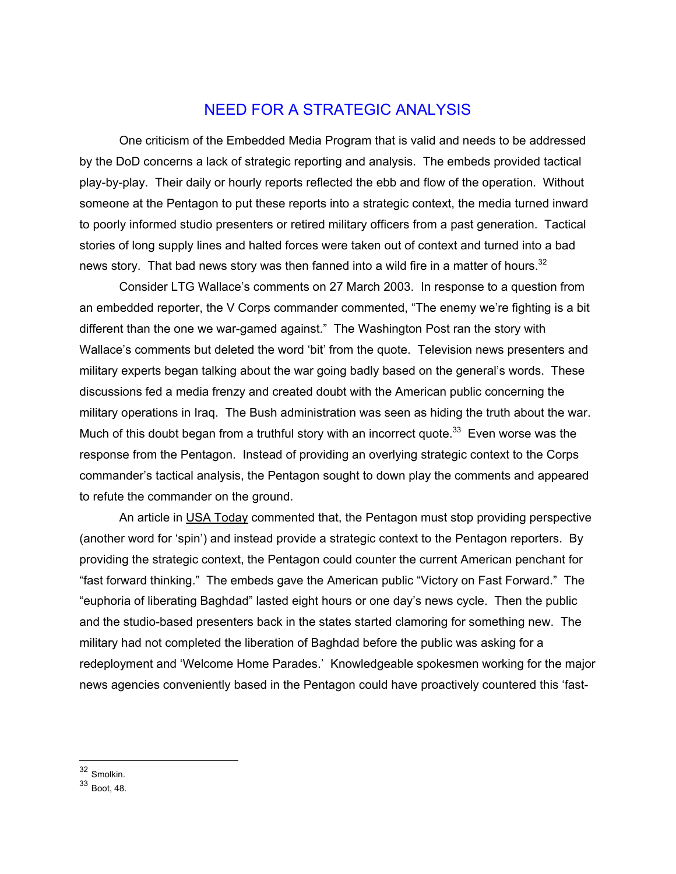## NEED FOR A STRATEGIC ANALYSIS

One criticism of the Embedded Media Program that is valid and needs to be addressed by the DoD concerns a lack of strategic reporting and analysis. The embeds provided tactical play-by-play. Their daily or hourly reports reflected the ebb and flow of the operation. Without someone at the Pentagon to put these reports into a strategic context, the media turned inward to poorly informed studio presenters or retired military officers from a past generation. Tactical stories of long supply lines and halted forces were taken out of context and turned into a bad news story. That bad news story was then fanned into a wild fire in a matter of hours.<sup>[32](#page-12-0)</sup>

Consider LTG Wallace's comments on 27 March 2003. In response to a question from an embedded reporter, the V Corps commander commented, "The enemy we're fighting is a bit different than the one we war-gamed against." The Washington Post ran the story with Wallace's comments but deleted the word 'bit' from the quote. Television news presenters and military experts began talking about the war going badly based on the general's words. These discussions fed a media frenzy and created doubt with the American public concerning the military operations in Iraq. The Bush administration was seen as hiding the truth about the war. Much of this doubt began from a truthful story with an incorrect quote.<sup>33</sup> Even worse was the response from the Pentagon. Instead of providing an overlying strategic context to the Corps commander's tactical analysis, the Pentagon sought to down play the comments and appeared to refute the commander on the ground.

An article in USA Today commented that, the Pentagon must stop providing perspective (another word for 'spin') and instead provide a strategic context to the Pentagon reporters. By providing the strategic context, the Pentagon could counter the current American penchant for "fast forward thinking." The embeds gave the American public "Victory on Fast Forward." The "euphoria of liberating Baghdad" lasted eight hours or one day's news cycle. Then the public and the studio-based presenters back in the states started clamoring for something new. The military had not completed the liberation of Baghdad before the public was asking for a redeployment and 'Welcome Home Parades.' Knowledgeable spokesmen working for the major news agencies conveniently based in the Pentagon could have proactively countered this 'fast-

 $\overline{a}$ 32 Smolkin.

<span id="page-12-1"></span><span id="page-12-0"></span><sup>33</sup> Boot, 48.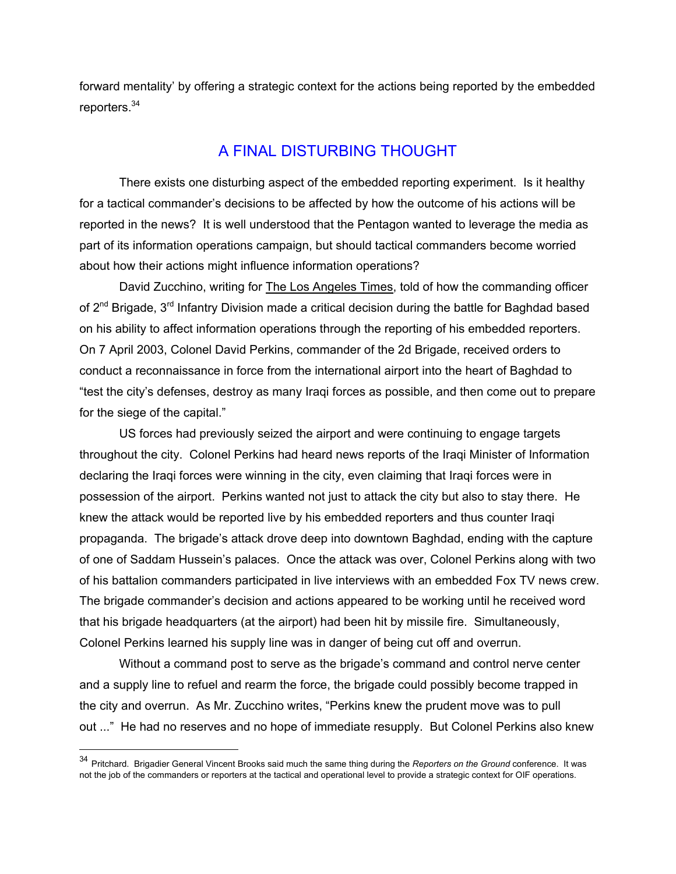<span id="page-13-0"></span>forward mentality' by offering a strategic context for the actions being reported by the embedded reporters.<sup>34</sup>

# A FINAL DISTURBING THOUGHT

There exists one disturbing aspect of the embedded reporting experiment. Is it healthy for a tactical commander's decisions to be affected by how the outcome of his actions will be reported in the news? It is well understood that the Pentagon wanted to leverage the media as part of its information operations campaign, but should tactical commanders become worried about how their actions might influence information operations?

David Zucchino, writing for The Los Angeles Times, told of how the commanding officer of 2<sup>nd</sup> Brigade, 3<sup>rd</sup> Infantry Division made a critical decision during the battle for Baghdad based on his ability to affect information operations through the reporting of his embedded reporters. On 7 April 2003, Colonel David Perkins, commander of the 2d Brigade, received orders to conduct a reconnaissance in force from the international airport into the heart of Baghdad to "test the city's defenses, destroy as many Iraqi forces as possible, and then come out to prepare for the siege of the capital."

US forces had previously seized the airport and were continuing to engage targets throughout the city. Colonel Perkins had heard news reports of the Iraqi Minister of Information declaring the Iraqi forces were winning in the city, even claiming that Iraqi forces were in possession of the airport. Perkins wanted not just to attack the city but also to stay there. He knew the attack would be reported live by his embedded reporters and thus counter Iraqi propaganda. The brigade's attack drove deep into downtown Baghdad, ending with the capture of one of Saddam Hussein's palaces. Once the attack was over, Colonel Perkins along with two of his battalion commanders participated in live interviews with an embedded Fox TV news crew. The brigade commander's decision and actions appeared to be working until he received word that his brigade headquarters (at the airport) had been hit by missile fire. Simultaneously, Colonel Perkins learned his supply line was in danger of being cut off and overrun.

Without a command post to serve as the brigade's command and control nerve center and a supply line to refuel and rearm the force, the brigade could possibly become trapped in the city and overrun. As Mr. Zucchino writes, "Perkins knew the prudent move was to pull out ..." He had no reserves and no hope of immediate resupply. But Colonel Perkins also knew

<sup>34</sup> Pritchard. Brigadier General Vincent Brooks said much the same thing during the *Reporters on the Ground* conference. It was not the job of the commanders or reporters at the tactical and operational level to provide a strategic context for OIF operations.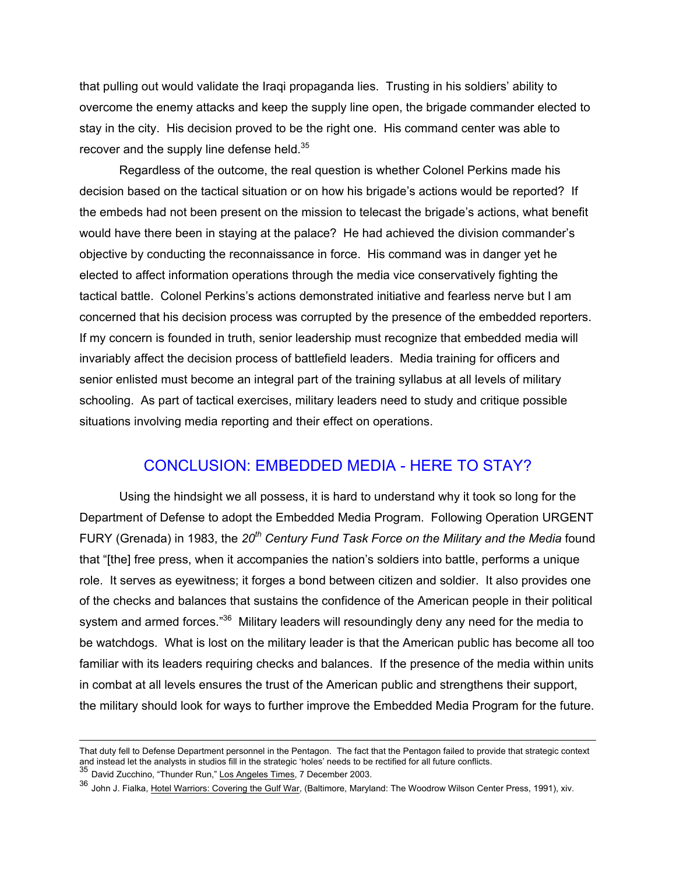that pulling out would validate the Iraqi propaganda lies. Trusting in his soldiers' ability to overcome the enemy attacks and keep the supply line open, the brigade commander elected to stay in the city. His decision proved to be the right one. His command center was able to recover and the supply line defense held. $35$ 

Regardless of the outcome, the real question is whether Colonel Perkins made his decision based on the tactical situation or on how his brigade's actions would be reported? If the embeds had not been present on the mission to telecast the brigade's actions, what benefit would have there been in staying at the palace? He had achieved the division commander's objective by conducting the reconnaissance in force. His command was in danger yet he elected to affect information operations through the media vice conservatively fighting the tactical battle. Colonel Perkins's actions demonstrated initiative and fearless nerve but I am concerned that his decision process was corrupted by the presence of the embedded reporters. If my concern is founded in truth, senior leadership must recognize that embedded media will invariably affect the decision process of battlefield leaders. Media training for officers and senior enlisted must become an integral part of the training syllabus at all levels of military schooling. As part of tactical exercises, military leaders need to study and critique possible situations involving media reporting and their effect on operations.

# CONCLUSION: EMBEDDED MEDIA - HERE TO STAY?

Using the hindsight we all possess, it is hard to understand why it took so long for the Department of Defense to adopt the Embedded Media Program. Following Operation URGENT FURY (Grenada) in 1983, the *20th Century Fund Task Force on the Military and the Media* found that "[the] free press, when it accompanies the nation's soldiers into battle, performs a unique role. It serves as eyewitness; it forges a bond between citizen and soldier. It also provides one of the checks and balances that sustains the confidence of the American people in their political system and armed forces."<sup>36</sup> Military leaders will resoundingly deny any need for the media to be watchdogs. What is lost on the military leader is that the American public has become all too familiar with its leaders requiring checks and balances. If the presence of the media within units in combat at all levels ensures the trust of the American public and strengthens their support, the military should look for ways to further improve the Embedded Media Program for the future.

That duty fell to Defense Department personnel in the Pentagon. The fact that the Pentagon failed to provide that strategic context and instead let the analysts in studios fill in the strategic 'holes' needs to be rectified for all future conflicts.<br><sup>35</sup> David Zucchino, "Thunder Run," <u>Los Angeles Times,</u> 7 December 2003.

<span id="page-14-0"></span>

<span id="page-14-1"></span><sup>36</sup> John J. Fialka, Hotel Warriors: Covering the Gulf War, (Baltimore, Maryland: The Woodrow Wilson Center Press, 1991), xiv.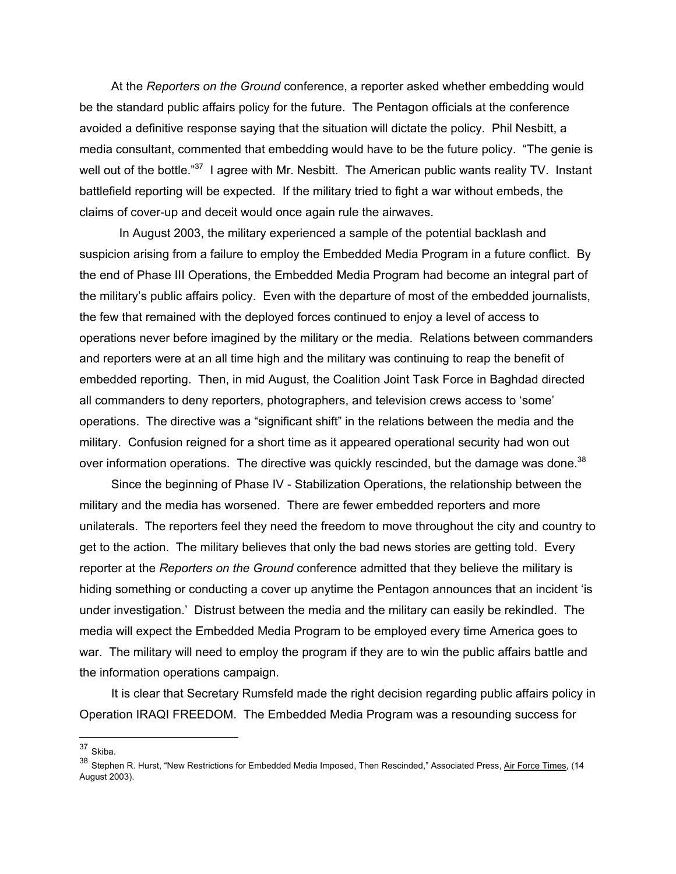At the *Reporters on the Ground* conference, a reporter asked whether embedding would be the standard public affairs policy for the future. The Pentagon officials at the conference avoided a definitive response saying that the situation will dictate the policy. Phil Nesbitt, a media consultant, commented that embedding would have to be the future policy. "The genie is well out of the bottle."<sup>37</sup> I agree with Mr. Nesbitt. The American public wants reality TV. Instant battlefield reporting will be expected. If the military tried to fight a war without embeds, the claims of cover-up and deceit would once again rule the airwaves.

In August 2003, the military experienced a sample of the potential backlash and suspicion arising from a failure to employ the Embedded Media Program in a future conflict. By the end of Phase III Operations, the Embedded Media Program had become an integral part of the military's public affairs policy. Even with the departure of most of the embedded journalists, the few that remained with the deployed forces continued to enjoy a level of access to operations never before imagined by the military or the media. Relations between commanders and reporters were at an all time high and the military was continuing to reap the benefit of embedded reporting. Then, in mid August, the Coalition Joint Task Force in Baghdad directed all commanders to deny reporters, photographers, and television crews access to 'some' operations. The directive was a "significant shift" in the relations between the media and the military. Confusion reigned for a short time as it appeared operational security had won out over information operations. The directive was quickly rescinded, but the damage was done.<sup>38</sup>

Since the beginning of Phase IV - Stabilization Operations, the relationship between the military and the media has worsened. There are fewer embedded reporters and more unilaterals. The reporters feel they need the freedom to move throughout the city and country to get to the action. The military believes that only the bad news stories are getting told. Every reporter at the *Reporters on the Ground* conference admitted that they believe the military is hiding something or conducting a cover up anytime the Pentagon announces that an incident 'is under investigation.' Distrust between the media and the military can easily be rekindled. The media will expect the Embedded Media Program to be employed every time America goes to war. The military will need to employ the program if they are to win the public affairs battle and the information operations campaign.

It is clear that Secretary Rumsfeld made the right decision regarding public affairs policy in Operation IRAQI FREEDOM. The Embedded Media Program was a resounding success for

<span id="page-15-0"></span><sup>37</sup> Skiba.

<span id="page-15-1"></span><sup>38</sup> Stephen R. Hurst, "New Restrictions for Embedded Media Imposed, Then Rescinded," Associated Press, Air Force Times, (14 August 2003).